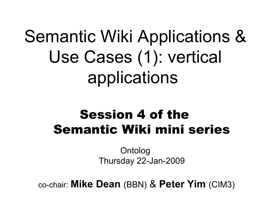## Semantic Wiki Applications & Use Cases (1): vertical applications

### Session 4 of the Semantic Wiki mini series

Ontolog Thursday 22-Jan-2009

co-chair: **Mike Dean** (BBN) & **Peter Yim** (CIM3)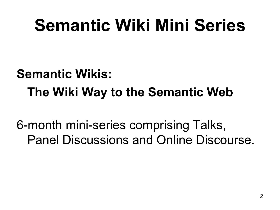## **Semantic Wiki Mini Series**

### **Semantic Wikis: The Wiki Way to the Semantic Web**

6-month mini-series comprising Talks, Panel Discussions and Online Discourse.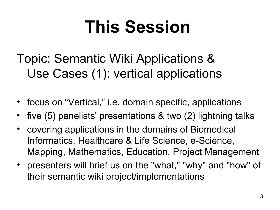## **This Session**

Topic: Semantic Wiki Applications & Use Cases (1): vertical applications

- focus on "Vertical," i.e. domain specific, applications
- five (5) panelists' presentations & two (2) lightning talks
- covering applications in the domains of Biomedical Informatics, Healthcare & Life Science, e-Science, Mapping, Mathematics, Education, Project Management
- presenters will brief us on the "what," "why" and "how" of their semantic wiki project/implementations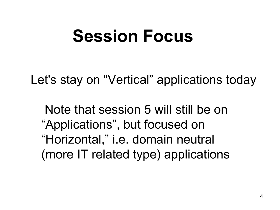## **Session Focus**

Let's stay on "Vertical" applications today

 Note that session 5 will still be on "Applications", but focused on "Horizontal," i.e. domain neutral (more IT related type) applications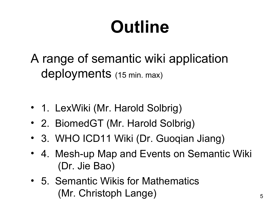# **Outline**

A range of semantic wiki application deployments (15 min. max)

- 1. LexWiki (Mr. Harold Solbrig)
- 2. BiomedGT (Mr. Harold Solbrig)
- 3. WHO ICD11 Wiki (Dr. Guoqian Jiang)
- 4. Mesh-up Map and Events on Semantic Wiki (Dr. Jie Bao)
- 5. Semantic Wikis for Mathematics (Mr. Christoph Lange)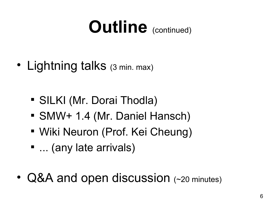## **Outline** (continued)

- Lightning talks (3 min. max)
	- SILKI (Mr. Dorai Thodla)
	- SMW+ 1.4 (Mr. Daniel Hansch)
	- Wiki Neuron (Prof. Kei Cheung)
	- ... (any late arrivals)
- Q&A and open discussion (~20 minutes)